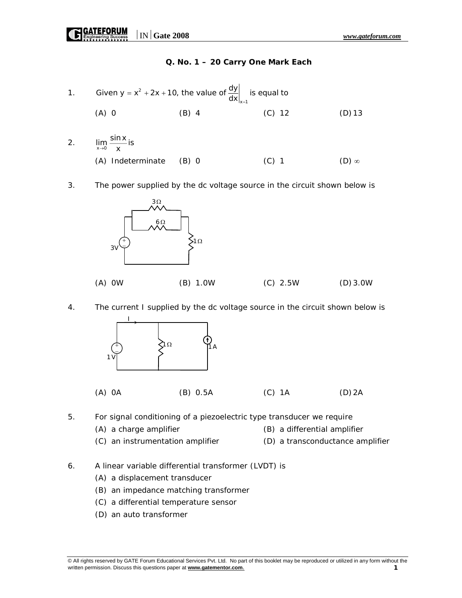**Q. No. 1 – 20 Carry One Mark Each**

- 1. Given y =  $x^2 + 2x + 10$ , the value of  $\frac{dy}{dx}\Big|_{x=1}$  is equal to  $x = 1$ (A) 0 (B) 4 (C) 12 (D) 13 2.  $\lim_{x\to 0} \frac{\sin x}{x}$  is
	- (A) Indeterminate (B) 0 (C) 1 (D)  $\infty$
- 3. The power supplied by the dc voltage source in the circuit shown below is



4. The current I supplied by the dc voltage source in the circuit shown below is



(A) 0A (B) 0.5A (C) 1A (D) 2A

5. For signal conditioning of a piezoelectric type transducer we require

- (A) a charge amplifier (B) a differential amplifier
- (C) an instrumentation amplifier (D) a transconductance amplifier
- 6. A linear variable differential transformer (LVDT) is
	- (A) a displacement transducer
	- (B) an impedance matching transformer
	- (C) a differential temperature sensor
	- (D) an auto transformer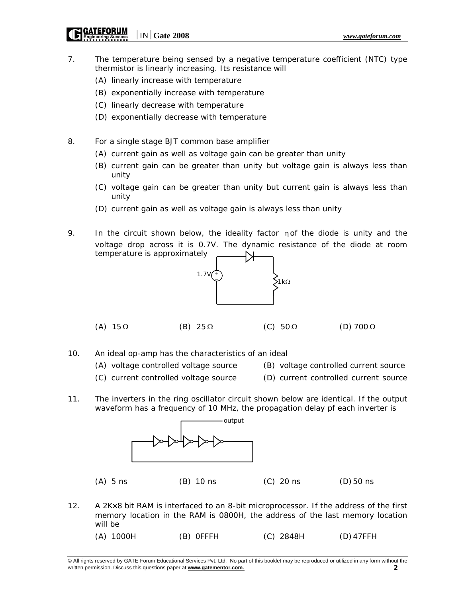- 7. The temperature being sensed by a negative temperature coefficient (NTC) type thermistor is linearly increasing. Its resistance will
	- (A) linearly increase with temperature
	- (B) exponentially increase with temperature
	- (C) linearly decrease with temperature
	- (D) exponentially decrease with temperature
- 8. For a single stage BJT common base amplifier
	- (A) current gain as well as voltage gain can be greater than unity
	- (B) current gain can be greater than unity but voltage gain is always less than unity
	- (C) voltage gain can be greater than unity but current gain is always less than unity
	- (D) current gain as well as voltage gain is always less than unity
- 9. In the circuit shown below, the ideality factor  $\eta$  of the diode is unity and the voltage drop across it is 0.7V. The dynamic resistance of the diode at room temperature is approximately



- (A)  $15\Omega$  (B)  $25\Omega$  (C)  $50\Omega$  (D)  $700\Omega$
- 10. An ideal op-amp has the characteristics of an ideal
	- (A) voltage controlled voltage source (B) voltage controlled current source
		-
	- (C) current controlled voltage source (D) current controlled current source
- -
- 
- 11. The inverters in the ring oscillator circuit shown below are identical. If the output waveform has a frequency of 10 MHz, the propagation delay pf each inverter is



- 12. A 2K×8 bit RAM is interfaced to an 8-bit microprocessor. If the address of the first memory location in the RAM is 0800H, the address of the last memory location will be
	- (A) 1000H (B) 0FFFH (C) 2848H (D) 47FFH

<sup>©</sup> All rights reserved by GATE Forum Educational Services Pvt. Ltd. No part of this booklet may be reproduced or utilized in any form without the written permission. Discuss this questions paper at **www.gatementor.com**. **2**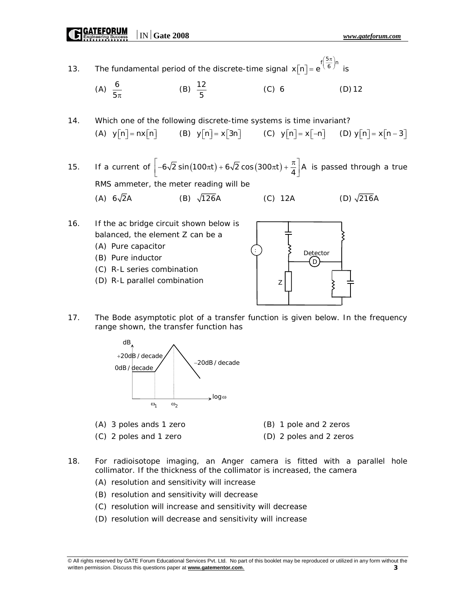## IN**Gate 2008** *www.gateforum.com*

- 13. The fundamental period of the discrete-time signal  $x[n] = e^{\int \left(\frac{5\pi}{6}\right)n}$  is
	- (A)  $\frac{6}{5\pi}$ (B)  $\frac{12}{5}$  $\frac{12}{5}$  (C) 6 (D) 12
- 14. Which one of the following discrete-time systems is time invariant? (A)  $y[n] = nx[n]$  (B)  $y[n] = x[3n]$  (C)  $y[n] = x[-n]$  (D)  $y[n] = x[n-3]$
- 15. If a current of  $\left[-6\sqrt{2} \sin(100\pi t) + 6\sqrt{2} \cos(300\pi t) + \frac{\pi}{4}\right]$ A is passed through a true RMS ammeter, the meter reading will be (A)  $6\sqrt{2}A$  (B)  $\sqrt{126}A$  (C) 12A (D)  $\sqrt{216}A$
- 16. If the ac bridge circuit shown below is balanced, the element Z can be a (A) Pure capacitor
	- (B) Pure inductor
	- (C) R-L series combination
	- (D) R-L parallel combination



17. The Bode asymptotic plot of a transfer function is given below. In the frequency range shown, the transfer function has



- (A) 3 poles ands 1 zero (B) 1 pole and 2 zeros
	-
- (C) 2 poles and 1 zero (D) 2 poles and 2 zeros
- 
- 18. For radioisotope imaging, an Anger camera is fitted with a parallel hole collimator. If the thickness of the collimator is increased, the camera
	- (A) resolution and sensitivity will increase
	- (B) resolution and sensitivity will decrease
	- (C) resolution will increase and sensitivity will decrease
	- (D) resolution will decrease and sensitivity will increase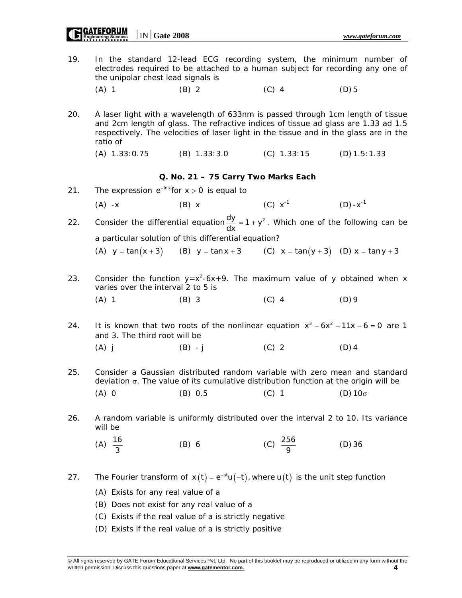- 19. In the standard 12-lead ECG recording system, the minimum number of electrodes required to be attached to a human subject for recording any one of the unipolar chest lead signals is (A) 1 (B) 2 (C) 4 (D) 5
- 20. A laser light with a wavelength of 633nm is passed through 1cm length of tissue and 2cm length of glass. The refractive indices of tissue ad glass are 1.33 ad 1.5 respectively. The velocities of laser light in the tissue and in the glass are in the ratio of

(A) 1.33:0.75 (B) 1.33:3.0 (C) 1.33:15 (D) 1.5:1.33

**Q. No. 21 – 75 Carry Two Marks Each**

21. The expression  $e^{-\ln x}$  for  $x > 0$  is equal to (A) -x (B) x (C)  $x^{-1}$  (D) -x<sup>-1</sup>

22. Consider the differential equation  $\frac{dy}{dx} = 1 + y^2$ . Which one of the following can be a particular solution of this differential equation? (A)  $y = \tan(x + 3)$  (B)  $y = \tan x + 3$  (C)  $x = \tan(y + 3)$  (D)  $x = \tan y + 3$ 

- 23. Consider the function  $y=x^2-6x+9$ . The maximum value of y obtained when x varies over the interval 2 to 5 is (A) 1 (B) 3 (C) 4 (D) 9
- 24. It is known that two roots of the nonlinear equation  $x^3 6x^2 + 11x 6 = 0$  are 1 and 3. The third root will be
	- (A) j (B) j (C) 2 (D) 4
- 25. Consider a Gaussian distributed random variable with zero mean and standard deviation  $\sigma$ . The value of its cumulative distribution function at the origin will be (A) 0 (B) 0.5 (C) 1 (D)  $10\sigma$
- 26. A random variable is uniformly distributed over the interval 2 to 10. Its variance will be
	- (A)  $\frac{16}{2}$  $\frac{16}{3}$  (B) 6 (C)  $\frac{256}{9}$  (D) 36
- 27. The Fourier transform of  $x(t) = e^{-at}u(-t)$ , where  $u(t)$  is the unit step function
	- (A) Exists for any real value of a
	- (B) Does not exist for any real value of a
	- (C) Exists if the real value of a is strictly negative
	- (D) Exists if the real value of a is strictly positive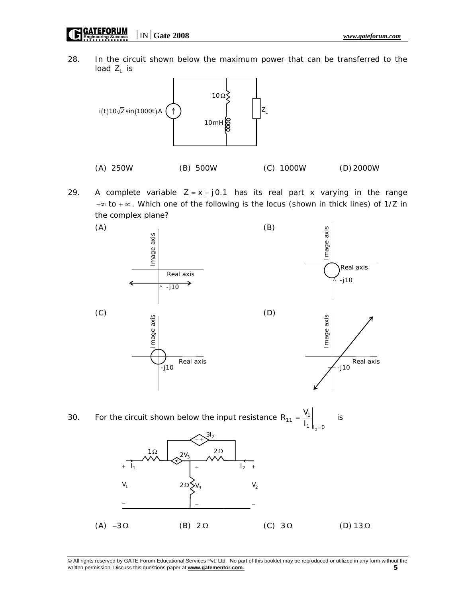28. In the circuit shown below the maximum power that can be transferred to the load  $Z_L$  is



29. A complete variable  $Z = x + j0.1$  has its real part x varying in the range  $-\infty$  to  $+\infty$ . Which one of the following is the locus (shown in thick lines) of 1/Z in the complex plane?



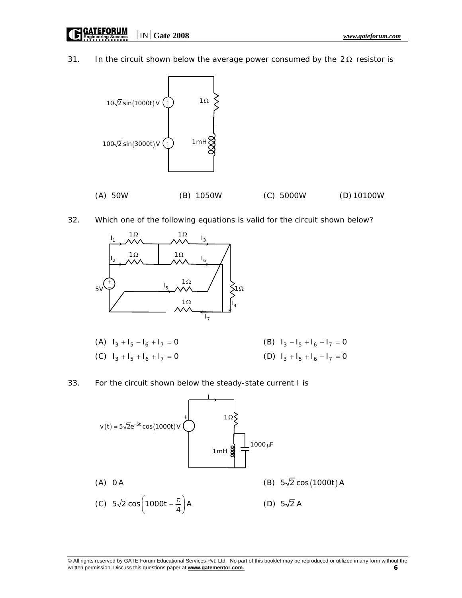31. In the circuit shown below the average power consumed by the  $2\Omega$  resistor is



32. Which one of the following equations is valid for the circuit shown below?



- (A)  $I_3 + I_5 I_6 + I_7 = 0$  (B)  $I_3 I_5 + I_6 + I_7 = 0$ (C)  $I_3 + I_5 + I_6 + I_7 = 0$  (D)  $I_3 + I_5 + I_6 - I_7 = 0$
- 33. For the circuit shown below the steady-state current I is

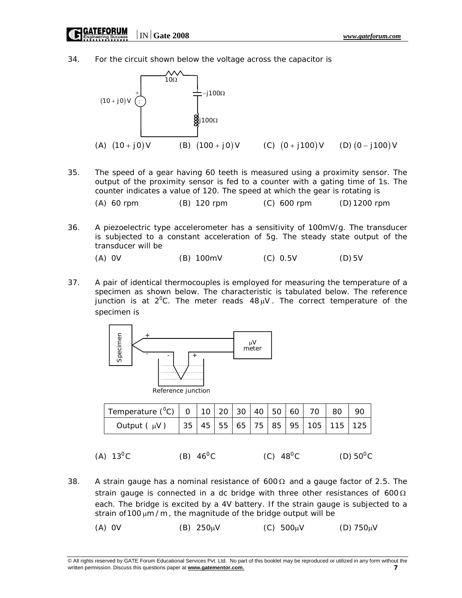34. For the circuit shown below the voltage across the capacitor is



- 35. The speed of a gear having 60 teeth is measured using a proximity sensor. The output of the proximity sensor is fed to a counter with a gating time of 1s. The counter indicates a value of 120. The speed at which the gear is rotating is
	- (A) 60 rpm (B) 120 rpm (C) 600 rpm (D) 1200 rpm
- 36. A piezoelectric type accelerometer has a sensitivity of 100mV/g. The transducer is subjected to a constant acceleration of 5g. The steady state output of the transducer will be

(A) 0V (B) 100mV (C) 0.5V (D) 5V

37. A pair of identical thermocouples is employed for measuring the temperature of a specimen as shown below. The characteristic is tabulated below. The reference junction is at  $2^{0}$ C. The meter reads  $48 \mu$ V. The correct temperature of the specimen is



| Temperature (°C)   0   10   20   30   40   50   60   70   80   90 |  |  |  |  |                                                                                                                          |  |
|-------------------------------------------------------------------|--|--|--|--|--------------------------------------------------------------------------------------------------------------------------|--|
| Output $(\mu V)$                                                  |  |  |  |  | $\vert$ 35 $\vert$ 45 $\vert$ 55 $\vert$ 65 $\vert$ 75 $\vert$ 85 $\vert$ 95 $\vert$ 105 $\vert$ 115 $\vert$ 125 $\vert$ |  |

- (A)  $13^{\circ}$ C (B)  $46^{\circ}$ C (C)  $48^{\circ}$ C (D)  $50^{\circ}$ C
- 38. A strain gauge has a nominal resistance of  $600\Omega$  and a gauge factor of 2.5. The strain gauge is connected in a dc bridge with three other resistances of 600 $\Omega$ each. The bridge is excited by a 4V battery. If the strain gauge is subjected to a strain of 100  $\mu$ m / m, the magnitude of the bridge output will be
	- (A) 0V (B)  $250 \mu V$  (C)  $500 \mu V$  (D)  $750 \mu V$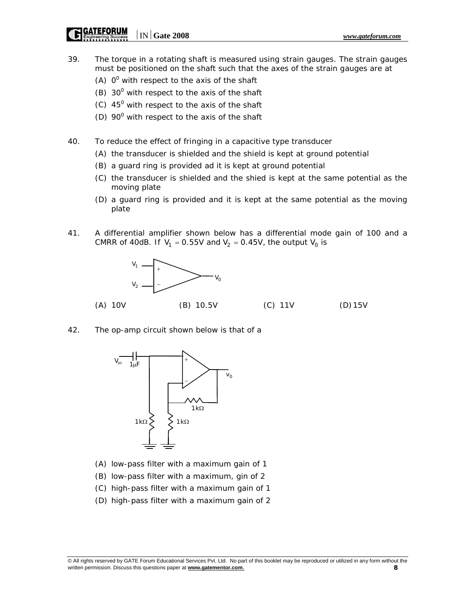- 39. The torque in a rotating shaft is measured using strain gauges. The strain gauges must be positioned on the shaft such that the axes of the strain gauges are at
	- (A)  $0^0$  with respect to the axis of the shaft
	- $(B)$  30 $^{\circ}$  with respect to the axis of the shaft
	- $(C)$  45<sup>0</sup> with respect to the axis of the shaft
	- (D)  $90^{\circ}$  with respect to the axis of the shaft
- 40. To reduce the effect of fringing in a capacitive type transducer
	- (A) the transducer is shielded and the shield is kept at ground potential
	- (B) a guard ring is provided ad it is kept at ground potential
	- (C) the transducer is shielded and the shied is kept at the same potential as the moving plate
	- (D) a guard ring is provided and it is kept at the same potential as the moving plate
- 41. A differential amplifier shown below has a differential mode gain of 100 and a CMRR of 40dB. If  $V_1 = 0.55V$  and  $V_2 = 0.45V$ , the output  $V_0$  is



42. The op-amp circuit shown below is that of a



- (A) low-pass filter with a maximum gain of 1
- (B) low-pass filter with a maximum, gin of 2
- (C) high-pass filter with a maximum gain of 1
- (D) high-pass filter with a maximum gain of 2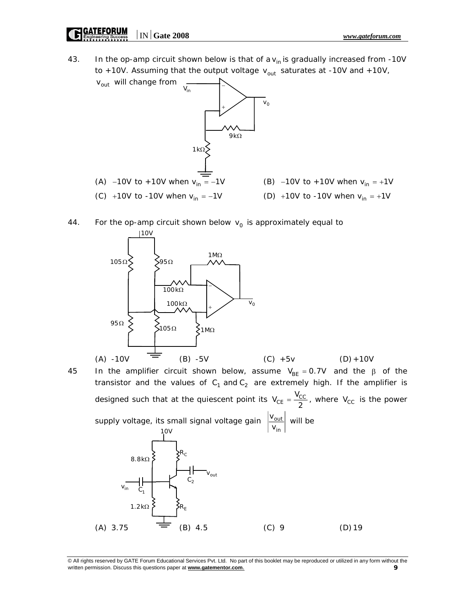43. In the op-amp circuit shown below is that of a  $v_{in}$  is gradually increased from -10V to +10V. Assuming that the output voltage  $v_{out}$  saturates at -10V and +10V,



44. For the op-amp circuit shown below  $v_0$  is approximately equal to



$$
\mathbf{A}^{\mathsf{L}}
$$

In the amplifier circuit shown below, assume  $V_{BE} = 0.7V$  and the  $\beta$  of the transistor and the values of  $C_1$  and  $C_2$  are extremely high. If the amplifier is designed such that at the quiescent point its  $V_{CE} = \frac{V_{CC}}{2}$ , where  $V_{CC}$  is the power supply voltage, its small signal voltage gain  $\frac{v_{\text{out}}}{\sqrt{v_{\text{out}}}}$ in v  $\frac{v_{\text{out}}}{v_{\text{in}}}$  will be  $R^{\vphantom{\dagger}}_{\rm C}$  $8.8k\Omega$ 1 N I

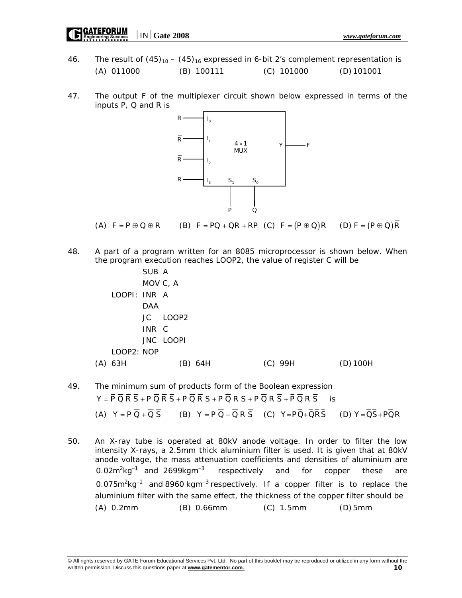## GATEFORUM  $\parallel$  IN Gate 2008

- 46. The result of  $(45)_{10} (45)_{16}$  expressed in 6-bit 2's complement representation is (A) 011000 (B) 100111 (C) 101000 (D) 101001
- 47. The output F of the multiplexer circuit shown below expressed in terms of the inputs P, Q and R is



(A)  $F = P \oplus Q \oplus R$  (B)  $F = PQ + QR + RP$  (C)  $F = (P \oplus Q)R$  (D)  $F = (P \oplus Q)\overline{R}$ 

48. A part of a program written for an 8085 microprocessor is shown below. When the program execution reaches LOOP2, the value of register C will be

SUB A MOV C, A LOOPI: INR A DAA JC LOOP2 INR C JNC LOOPI LOOP2: NOP (A) 63H (B) 64H (C) 99H (D) 100H

- 49. The minimum sum of products form of the Boolean expression  $Y = \overline{P} \overline{O} \overline{R} \overline{S} + P \overline{O} \overline{R} \overline{S} + P \overline{O} \overline{R} S + P \overline{O} R S + P \overline{O} R \overline{S} + P \overline{O} R \overline{S}$  is (A)  $Y = P\overline{Q} + \overline{Q}\overline{S}$  (B)  $Y = P\overline{Q} + \overline{Q}R\overline{S}$  (C)  $Y = P\overline{Q} + \overline{Q}R\overline{S}$  (D)  $Y = \overline{Q}\overline{S} + P\overline{Q}R$
- 50. An X-ray tube is operated at 80kV anode voltage. In order to filter the low intensity X-rays, a 2.5mm thick aluminium filter is used. It is given that at 80kV anode voltage, the mass attenuation coefficients and densities of aluminium are  $0.02 m^2 kg^{-1}$  and  $2699 kg m^{-3}$  respectively and for copper these are  $0.075m<sup>2</sup>$ kg<sup>-1</sup> and 8960 kgm<sup>-3</sup> respectively. If a copper filter is to replace the aluminium filter with the same effect, the thickness of the copper filter should be (A) 0.2mm (B) 0.66mm (C) 1.5mm (D) 5mm

<sup>©</sup> All rights reserved by GATE Forum Educational Services Pvt. Ltd. No part of this booklet may be reproduced or utilized in any form without the written permission. Discuss this questions paper at **www.gatementor.com**. **10**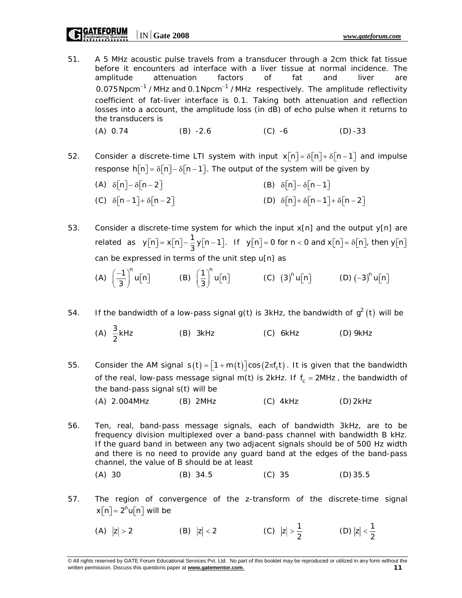51. A 5 MHz acoustic pulse travels from a transducer through a 2cm thick fat tissue before it encounters ad interface with a liver tissue at normal incidence. The amplitude attenuation factors of fat and liver are  $0.075$  Npcm<sup>-1</sup> / MHz and 0.1 Npcm<sup>-1</sup> / MHz respectively. The amplitude reflectivity coefficient of fat-liver interface is 0.1. Taking both attenuation and reflection losses into a account, the amplitude loss (in dB) of echo pulse when it returns to the transducers is

(A) 0.74 (B) -2.6 (C) -6 (D) -33

52. Consider a discrete-time LTI system with input  $x[n] = \delta[n] + \delta[n-1]$  and impulse response  $h[n] = \delta[n] - \delta[n-1]$ . The output of the system will be given by

(A) 
$$
\delta[n] - \delta[n-2]
$$

\n(B)  $\delta[n] - \delta[n-1]$ 

\n(C)  $\delta[n-1] + \delta[n-2]$ 

\n(D)  $\delta[n] + \delta[n-1] + \delta[n-2]$ 

53. Consider a discrete-time system for which the input  $x[n]$  and the output  $y[n]$  are related as  $y[n] = x[n] - \frac{1}{3}y[n-1]$ . If  $y[n] = 0$  for  $n < 0$  and  $x[n] = \delta[n]$ , then  $y[n]$ can be expressed in terms of the unit step u[n] as

(A)  $\left(\frac{-1}{3}\right)^n$  u[n] (B)  $\left(\frac{1}{3}\right)^n$  u[n] (C)  $(3)^n$  u[n] (D)  $(-3)^n$  u[n]

54. If the bandwidth of a low-pass signal  $g(t)$  is 3kHz, the bandwidth of  $g^2(t)$  will be

(A) 
$$
\frac{3}{2}
$$
 kHz (B) 3kHz (C) 6kHz (D) 9kHz

- 55. Consider the AM signal  $s(t) = \lceil 1 + m(t) \rceil \cos(2\pi f_c t)$ . It is given that the bandwidth of the real, low-pass message signal m(t) is 2kHz. If  $f_c = 2MHz$ , the bandwidth of the band-pass signal s(t) will be (A) 2.004MHz (B) 2MHz (C) 4kHz (D) 2kHz
- 56. Ten, real, band-pass message signals, each of bandwidth 3kHz, are to be frequency division multiplexed over a band-pass channel with bandwidth B kHz. If the guard band in between any two adjacent signals should be of 500 Hz width and there is no need to provide any guard band at the edges of the band-pass channel, the value of B should be at least
	- (A) 30 (B) 34.5 (C) 35 (D) 35.5
- 57. The region of convergence of the z-transform of the discrete-time signal  $x[n] = 2^n u[n]$  will be
	- (A)  $|z| > 2$  (B)  $|z| < 2$  $|z| > \frac{1}{2}$  (D)  $|z| < \frac{1}{2}$

<sup>©</sup> All rights reserved by GATE Forum Educational Services Pvt. Ltd. No part of this booklet may be reproduced or utilized in any form without the written permission. Discuss this questions paper at **www.gatementor.com**. **11**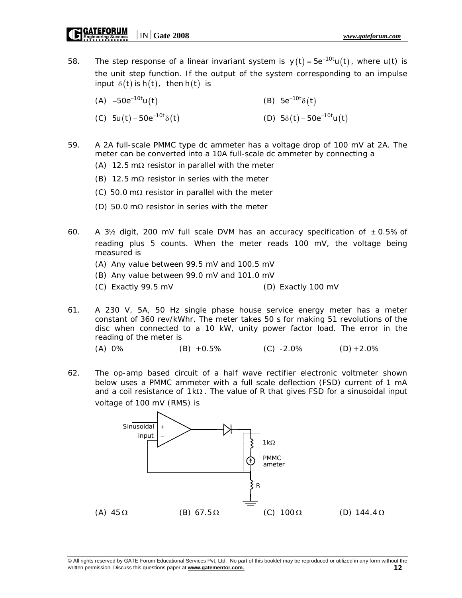58. The step response of a linear invariant system is  $y(t) = 5e^{-10t}u(t)$ , where  $u(t)$  is the unit step function. If the output of the system corresponding to an impulse input  $\delta(t)$  is h(t), then h(t) is

| (A) $-50e^{-10t}u(t)$             | (B) $5e^{-10t}\delta(t)$          |
|-----------------------------------|-----------------------------------|
| (C) $5u(t) - 50e^{-10t}\delta(t)$ | (D) $5\delta(t) - 50e^{-10t}u(t)$ |

- 59. A 2A full-scale PMMC type dc ammeter has a voltage drop of 100 mV at 2A. The meter can be converted into a 10A full-scale dc ammeter by connecting a
	- (A) 12.5 m $\Omega$  resistor in parallel with the meter
	- (B) 12.5 m $\Omega$  resistor in series with the meter
	- (C) 50.0 m $\Omega$  resistor in parallel with the meter
	- (D) 50.0 m $\Omega$  resistor in series with the meter
- 60. A  $3\frac{1}{2}$  digit, 200 mV full scale DVM has an accuracy specification of  $\pm$  0.5% of reading plus 5 counts. When the meter reads 100 mV, the voltage being measured is
	- (A) Any value between 99.5 mV and 100.5 mV
	- (B) Any value between 99.0 mV and 101.0 mV
	- (C) Exactly 99.5 mV (D) Exactly 100 mV
- 61. A 230 V, 5A, 50 Hz single phase house service energy meter has a meter constant of 360 rev/kWhr. The meter takes 50 s for making 51 revolutions of the disc when connected to a 10 kW, unity power factor load. The error in the reading of the meter is

```
(A) 0\% (B) +0.5\% (C) -2.0% (D) +2.0%
```
62. The op-amp based circuit of a half wave rectifier electronic voltmeter shown below uses a PMMC ammeter with a full scale deflection (FSD) current of 1 mA and a coil resistance of  $1k\Omega$ . The value of R that gives FSD for a sinusoidal input voltage of 100 mV (RMS) is

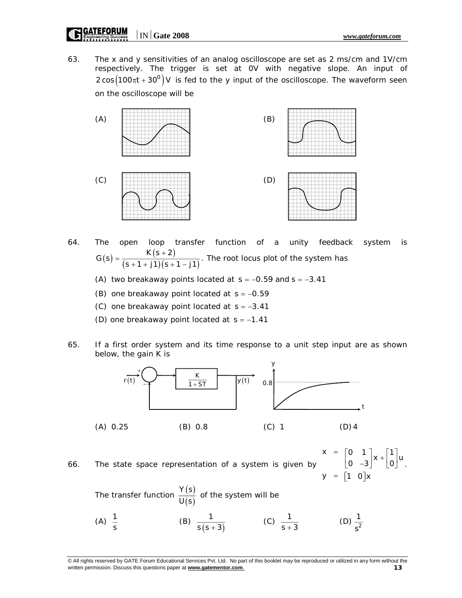63. The x and y sensitivities of an analog oscilloscope are set as 2 ms/cm and 1V/cm respectively. The trigger is set at 0V with negative slope. An input of  $2\cos(100\pi t + 30^\circ)$  V is fed to the y input of the oscilloscope. The waveform seen on the oscilloscope will be



- 64. The open loop transfer function of a unity feedback system is  $(s) = \frac{K(s+2)}{(s+1+j1)(s+1-j1)}$  $G(s) = \frac{K(s+2)}{(s+1+j1)(s+1-j1)}$ . The root locus plot of the system has
	- (A) two breakaway points located at  $s = -0.59$  and  $s = -3.41$
	- (B) one breakaway point located at  $s = -0.59$
	- (C) one breakaway point located at  $s = -3.41$
	- (D) one breakaway point located at  $s = -1.41$
- 65. If a first order system and its time response to a unit step input are as shown below, the gain K is



$$
y = \begin{bmatrix} 1 & 0 \end{bmatrix} x
$$

The transfer function  $\frac{Y(s)}{X(s)}$ (s)  $\frac{Y(s)}{U(s)}$  of the system will be

(A)  $\frac{1}{s}$ (B)  $\frac{1}{s(s+3)}$  (C)  $\frac{1}{s+3}$  (D)  $\frac{1}{s^2}$ s

<sup>©</sup> All rights reserved by GATE Forum Educational Services Pvt. Ltd. No part of this booklet may be reproduced or utilized in any form without the written permission. Discuss this questions paper at **www.gatementor.com**. **13**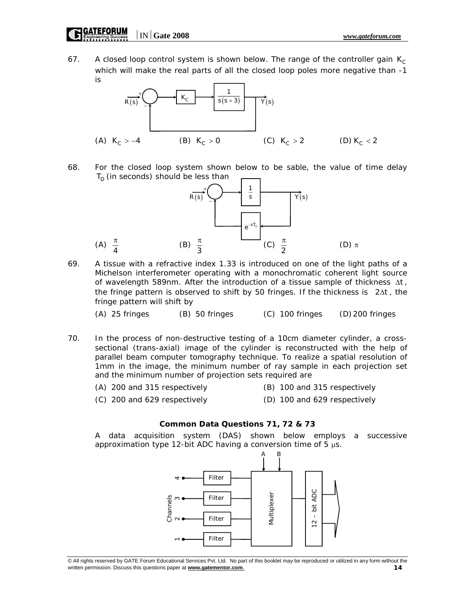67. A closed loop control system is shown below. The range of the controller gain  $K_c$ which will make the real parts of all the closed loop poles more negative than -1 is



68. For the closed loop system shown below to be sable, the value of time delay  $T_D$  (in seconds) should be less than



69. A tissue with a refractive index 1.33 is introduced on one of the light paths of a Michelson interferometer operating with a monochromatic coherent light source of wavelength 589nm. After the introduction of a tissue sample of thickness  $\Delta t$ , the fringe pattern is observed to shift by 50 fringes. If the thickness is  $2\Delta t$ , the fringe pattern will shift by

(A) 25 fringes (B) 50 fringes (C) 100 fringes (D) 200 fringes

- 70. In the process of non-destructive testing of a 10cm diameter cylinder, a crosssectional (trans-axial) image of the cylinder is reconstructed with the help of parallel beam computer tomography technique. To realize a spatial resolution of 1mm in the image, the minimum number of ray sample in each projection set and the minimum number of projection sets required are
	- (A) 200 and 315 respectively (B) 100 and 315 respectively
	- (C) 200 and 629 respectively (D) 100 and 629 respectively
- -

**Common Data Questions 71, 72 & 73**

A data acquisition system (DAS) shown below employs a successive approximation type 12-bit ADC having a conversion time of  $5 \mu s$ .



<sup>©</sup> All rights reserved by GATE Forum Educational Services Pvt. Ltd. No part of this booklet may be reproduced or utilized in any form without the written permission. Discuss this questions paper at **www.gatementor.com**. **14**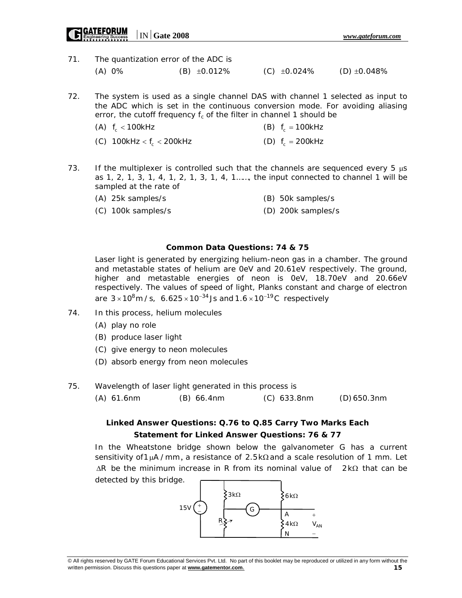- 71. The quantization error of the ADC is (A) 0% (B)  $\pm 0.012\%$  (C)  $\pm 0.024\%$  (D)  $\pm 0.048\%$
- 72. The system is used as a single channel DAS with channel 1 selected as input to the ADC which is set in the continuous conversion mode. For avoiding aliasing error, the cutoff frequency  $f_c$  of the filter in channel 1 should be
	- (A)  $f_c < 100kHz$  (B)  $f_c = 100kHz$ (C)  $100kHz < f_c < 200kHz$  (D)  $f_c = 200kHz$
- 73. If the multiplexer is controlled such that the channels are sequenced every  $5 \text{ }\mu\text{s}$ as 1, 2, 1, 3, 1, 4, 1, 2, 1, 3, 1, 4, 1……, the input connected to channel 1 will be sampled at the rate of
	- (A) 25k samples/s (B) 50k samples/s
	- (C) 100k samples/s (D) 200k samples/s

## **Common Data Questions: 74 & 75**

Laser light is generated by energizing helium-neon gas in a chamber. The ground and metastable states of helium are 0eV and 20.61eV respectively. The ground, higher and metastable energies of neon is 0eV, 18.70eV and 20.66eV respectively. The values of speed of light, Planks constant and charge of electron are  $3 \times 10^8$  m / s, 6.625  $\times 10^{-34}$  Js and 1.6  $\times 10^{-19}$ C respectively

- 74. In this process, helium molecules
	- (A) play no role
	- (B) produce laser light
	- (C) give energy to neon molecules
	- (D) absorb energy from neon molecules
- 75. Wavelength of laser light generated in this process is
	- (A) 61.6nm (B) 66.4nm (C) 633.8nm (D) 650.3nm

**Linked Answer Questions: Q.76 to Q.85 Carry Two Marks Each**

**Statement for Linked Answer Questions: 76 & 77**

In the Wheatstone bridge shown below the galvanometer G has a current sensitivity of 1  $\mu$ A / mm, a resistance of 2.5 k $\Omega$  and a scale resolution of 1 mm. Let  $\Delta R$  be the minimum increase in R from its nominal value of  $2k\Omega$  that can be detected by this bridge.



<sup>©</sup> All rights reserved by GATE Forum Educational Services Pvt. Ltd. No part of this booklet may be reproduced or utilized in any form without the written permission. Discuss this questions paper at **www.gatementor.com**. **15**